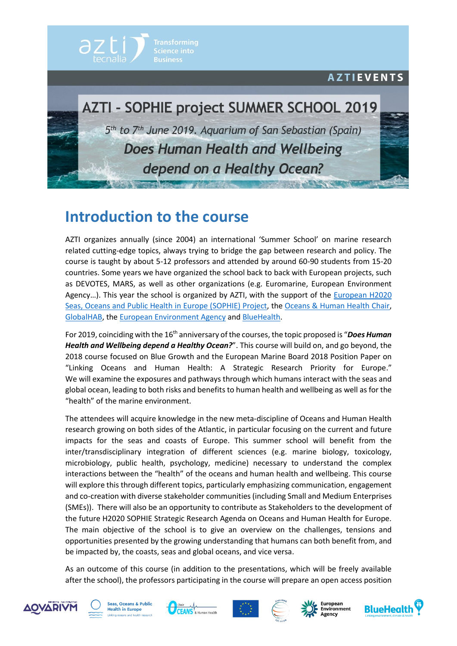## **AZTIEVENTS**



# **Introduction to the course**

AZTI organizes annually (since 2004) an international 'Summer School' on marine research related cutting-edge topics, always trying to bridge the gap between research and policy. The course is taught by about 5-12 professors and attended by around 60-90 students from 15-20 countries. Some years we have organized the school back to back with European projects, such as DEVOTES, MARS, as well as other organizations (e.g. Euromarine, European Environment Agency...). This year the school is organized by AZTI, with the support of the *European H2020* [Seas, Oceans and Public Health in Europe \(SOPHIE\) Project,](https://sophie2020.eu/) the [Oceans & Human Health Chair,](file://///dok/NAS/P01/EVENTOS/EVENTOS-JORNADAS-VISITAS/2019/UIM/6%20JUNIO%202019%20-%20SUMMER%20SCHOOL/PROGRAMA/(www.oceanshealth.udg.edu) [GlobalHAB,](http://www.globalhab.info/) th[e European Environment Agency](https://www.eea.europa.eu/) and [BlueHealth.](https://bluehealth2020.eu/)

For 2019, coinciding with the 16<sup>th</sup> anniversary of the courses, the topic proposed is "Does Human *Health and Wellbeing depend a Healthy Ocean?*". This course will build on, and go beyond, the 2018 course focused on Blue Growth and the European Marine Board 2018 Position Paper on "Linking Oceans and Human Health: A Strategic Research Priority for Europe." We will examine the exposures and pathways through which humans interact with the seas and global ocean, leading to both risks and benefits to human health and wellbeing as well as for the "health" of the marine environment.

The attendees will acquire knowledge in the new meta-discipline of Oceans and Human Health research growing on both sides of the Atlantic, in particular focusing on the current and future impacts for the seas and coasts of Europe. This summer school will benefit from the inter/transdisciplinary integration of different sciences (e.g. marine biology, toxicology, microbiology, public health, psychology, medicine) necessary to understand the complex interactions between the "health" of the oceans and human health and wellbeing. This course will explore this through different topics, particularly emphasizing communication, engagement and co-creation with diverse stakeholder communities(including Small and Medium Enterprises (SMEs)). There will also be an opportunity to contribute as Stakeholders to the development of the future H2020 SOPHIE Strategic Research Agenda on Oceans and Human Health for Europe. The main objective of the school is to give an overview on the challenges, tensions and opportunities presented by the growing understanding that humans can both benefit from, and be impacted by, the coasts, seas and global oceans, and vice versa.

As an outcome of this course (in addition to the presentations, which will be freely available after the school), the professors participating in the course will prepare an open access position













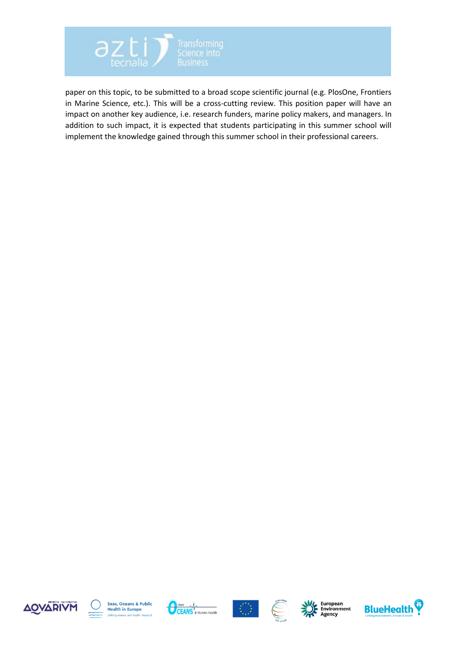

paper on this topic, to be submitted to a broad scope scientific journal (e.g. PlosOne, Frontiers in Marine Science, etc.). This will be a cross-cutting review. This position paper will have an impact on another key audience, i.e. research funders, marine policy makers, and managers. In addition to such impact, it is expected that students participating in this summer school will implement the knowledge gained through this summer school in their professional careers.













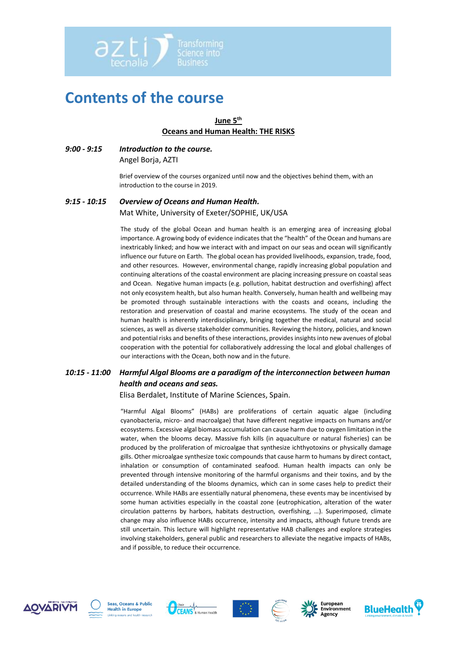

## **Contents of the course**

## **June 5th Oceans and Human Health: THE RISKS**

*9:00 - 9:15 Introduction to the course.*

Angel Borja, AZTI

Brief overview of the courses organized until now and the objectives behind them, with an introduction to the course in 2019.

#### *9:15 - 10:15 Overview of Oceans and Human Health.*

Mat White, University of Exeter/SOPHIE, UK/USA

The study of the global Ocean and human health is an emerging area of increasing global importance. A growing body of evidence indicates that the "health" of the Ocean and humans are inextricably linked; and how we interact with and impact on our seas and ocean will significantly influence our future on Earth. The global ocean has provided livelihoods, expansion, trade, food, and other resources. However, environmental change, rapidly increasing global population and continuing alterations of the coastal environment are placing increasing pressure on coastal seas and Ocean. Negative human impacts (e.g. pollution, habitat destruction and overfishing) affect not only ecosystem health, but also human health. Conversely, human health and wellbeing may be promoted through sustainable interactions with the coasts and oceans, including the restoration and preservation of coastal and marine ecosystems. The study of the ocean and human health is inherently interdisciplinary, bringing together the medical, natural and social sciences, as well as diverse stakeholder communities. Reviewing the history, policies, and known and potential risks and benefits of these interactions, provides insights into new avenues of global cooperation with the potential for collaboratively addressing the local and global challenges of our interactions with the Ocean, both now and in the future.

#### *10:15 - 11:00 Harmful Algal Blooms are a paradigm of the interconnection between human health and oceans and seas.*

Elisa Berdalet, Institute of Marine Sciences, Spain.

"Harmful Algal Blooms" (HABs) are proliferations of certain aquatic algae (including cyanobacteria, micro- and macroalgae) that have different negative impacts on humans and/or ecosystems. Excessive algal biomass accumulation can cause harm due to oxygen limitation in the water, when the blooms decay. Massive fish kills (in aquaculture or natural fisheries) can be produced by the proliferation of microalgae that synthesize ichthyotoxins or physically damage gills. Other microalgae synthesize toxic compounds that cause harm to humans by direct contact, inhalation or consumption of contaminated seafood. Human health impacts can only be prevented through intensive monitoring of the harmful organisms and their toxins, and by the detailed understanding of the blooms dynamics, which can in some cases help to predict their occurrence. While HABs are essentially natural phenomena, these events may be incentivised by some human activities especially in the coastal zone (eutrophication, alteration of the water circulation patterns by harbors, habitats destruction, overfishing, …). Superimposed, climate change may also influence HABs occurrence, intensity and impacts, although future trends are still uncertain. This lecture will highlight representative HAB challenges and explore strategies involving stakeholders, general public and researchers to alleviate the negative impacts of HABs, and if possible, to reduce their occurrence.













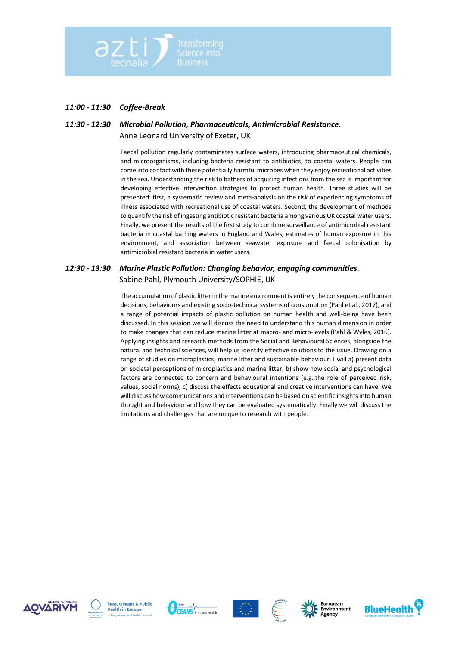

#### *11:00 - 11:30 Coffee-Break*

## *11:30 - 12:30 Microbial Pollution, Pharmaceuticals, Antimicrobial Resistance.* Anne Leonard University of Exeter, UK

Faecal pollution regularly contaminates surface waters, introducing pharmaceutical chemicals, and microorganisms, including bacteria resistant to antibiotics, to coastal waters. People can come into contact with these potentially harmful microbes when they enjoy recreational activities in the sea. Understanding the risk to bathers of acquiring infections from the sea is important for developing effective intervention strategies to protect human health. Three studies will be presented: first, a systematic review and meta-analysis on the risk of experiencing symptoms of illness associated with recreational use of coastal waters. Second, the development of methods to quantify the risk of ingesting antibiotic resistant bacteria among various UK coastal water users. Finally, we present the results of the first study to combine surveillance of antimicrobial resistant bacteria in coastal bathing waters in England and Wales, estimates of human exposure in this environment, and association between seawater exposure and faecal colonisation by antimicrobial resistant bacteria in water users.

#### *12:30 - 13:30 Marine Plastic Pollution: Changing behavior, engaging communities.* Sabine Pahl, Plymouth University/SOPHIE, UK

The accumulation of plastic litter in the marine environment is entirely the consequence of human decisions, behaviours and existing socio-technical systems of consumption (Pahl et al., 2017), and a range of potential impacts of plastic pollution on human health and well-being have been discussed. In this session we will discuss the need to understand this human dimension in order to make changes that can reduce marine litter at macro- and micro-levels (Pahl & Wyles, 2016). Applying insights and research methods from the Social and Behavioural Sciences, alongside the natural and technical sciences, will help us identify effective solutions to the issue. Drawing on a range of studies on microplastics, marine litter and sustainable behaviour, I will a) present data on societal perceptions of microplastics and marine litter, b) show how social and psychological factors are connected to concern and behavioural intentions (e.g.,the role of perceived risk, values, social norms), c) discuss the effects educational and creative interventions can have. We will discuss how communications and interventions can be based on scientific insights into human thought and behaviour and how they can be evaluated systematically. Finally we will discuss the limitations and challenges that are unique to research with people.













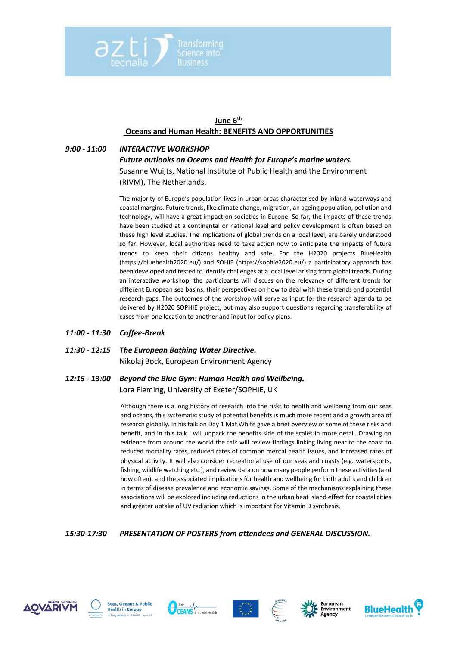

## **June 6th Oceans and Human Health: BENEFITS AND OPPORTUNITIES**

## *9:00 - 11:00 INTERACTIVE WORKSHOP Future outlooks on Oceans and Health for Europe's marine waters.* Susanne Wuijts, National Institute of Public Health and the Environment (RIVM), The Netherlands.

The majority of Europe's population lives in urban areas characterised by inland waterways and coastal margins. Future trends, like climate change, migration, an ageing population, pollution and technology, will have a great impact on societies in Europe. So far, the impacts of these trends have been studied at a continental or national level and policy development is often based on these high level studies. The implications of global trends on a local level, are barely understood so far. However, local authorities need to take action now to anticipate the impacts of future trends to keep their citizens healthy and safe. For the H2020 projects BlueHealth (https://bluehealth2020.eu/) and SOHIE (https://sophie2020.eu/) a participatory approach has been developed and tested to identify challenges at a local level arising from global trends. During an interactive workshop, the participants will discuss on the relevancy of different trends for different European sea basins, their perspectives on how to deal with these trends and potential research gaps. The outcomes of the workshop will serve as input for the research agenda to be delivered by H2020 SOPHIE project, but may also support questions regarding transferability of cases from one location to another and input for policy plans.

- *11:00 - 11:30 Coffee-Break*
- *11:30 - 12:15 The European Bathing Water Directive.*

Nikolaj Bock, European Environment Agency

*12:15 - 13:00 Beyond the Blue Gym: Human Health and Wellbeing.*

Lora Fleming, University of Exeter/SOPHIE, UK

Although there is a long history of research into the risks to health and wellbeing from our seas and oceans, this systematic study of potential benefits is much more recent and a growth area of research globally. In his talk on Day 1 Mat White gave a brief overview of some of these risks and benefit, and in this talk I will unpack the benefits side of the scales in more detail. Drawing on evidence from around the world the talk will review findings linking living near to the coast to reduced mortality rates, reduced rates of common mental health issues, and increased rates of physical activity. It will also consider recreational use of our seas and coasts (e.g. watersports, fishing, wildlife watching etc.), and review data on how many people perform these activities (and how often), and the associated implications for health and wellbeing for both adults and children in terms of disease prevalence and economic savings. Some of the mechanisms explaining these associations will be explored including reductions in the urban heat island effect for coastal cities and greater uptake of UV radiation which is important for Vitamin D synthesis.

## *15:30-17:30 PRESENTATION OF POSTERS from attendees and GENERAL DISCUSSION.*













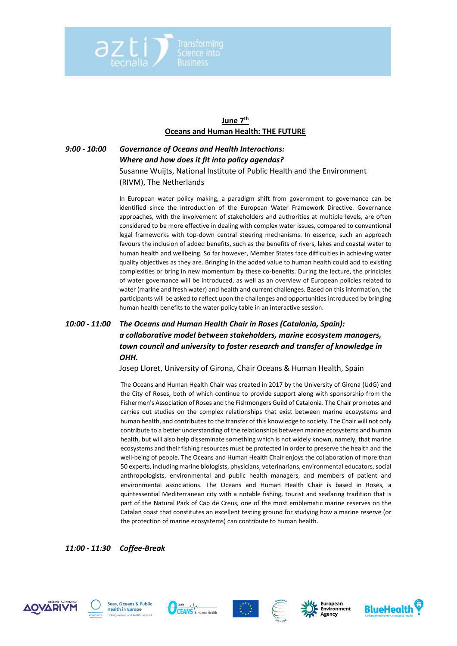

## **June 7th Oceans and Human Health: THE FUTURE**

*9:00 - 10:00 Governance of Oceans and Health Interactions: Where and how does it fit into policy agendas?* Susanne Wuijts, National Institute of Public Health and the Environment (RIVM), The Netherlands

> In European water policy making, a paradigm shift from government to governance can be identified since the introduction of the European Water Framework Directive. Governance approaches, with the involvement of stakeholders and authorities at multiple levels, are often considered to be more effective in dealing with complex water issues, compared to conventional legal frameworks with top-down central steering mechanisms. In essence, such an approach favours the inclusion of added benefits, such as the benefits of rivers, lakes and coastal water to human health and wellbeing. So far however, Member States face difficulties in achieving water quality objectives as they are. Bringing in the added value to human health could add to existing complexities or bring in new momentum by these co-benefits. During the lecture, the principles of water governance will be introduced, as well as an overview of European policies related to water (marine and fresh water) and health and current challenges. Based on this information, the participants will be asked to reflect upon the challenges and opportunities introduced by bringing human health benefits to the water policy table in an interactive session.

## *10:00 - 11:00 The Oceans and Human Health Chair in Roses (Catalonia, Spain): a collaborative model between stakeholders, marine ecosystem managers, town council and university to foster research and transfer of knowledge in OHH.*

Josep Lloret, University of Girona, Chair Oceans & Human Health, Spain

The Oceans and Human Health Chair was created in 2017 by the University of Girona (UdG) and the City of Roses, both of which continue to provide support along with sponsorship from the Fishermen's Association of Roses and the Fishmongers Guild of Catalonia. The Chair promotes and carries out studies on the complex relationships that exist between marine ecosystems and human health, and contributes to the transfer of this knowledge to society. The Chair will not only contribute to a better understanding of the relationships between marine ecosystems and human health, but will also help disseminate something which is not widely known, namely, that marine ecosystems and their fishing resources must be protected in order to preserve the health and the well-being of people. The Oceans and Human Health Chair enjoys the collaboration of more than 50 experts, including marine biologists, physicians, veterinarians, environmental educators, social anthropologists, environmental and public health managers, and members of patient and environmental associations. The Oceans and Human Health Chair is based in Roses, a quintessential Mediterranean city with a notable fishing, tourist and seafaring tradition that is part of the Natural Park of Cap de Creus, one of the most emblematic marine reserves on the Catalan coast that constitutes an excellent testing ground for studying how a marine reserve (or the protection of marine ecosystems) can contribute to human health.

*11:00 - 11:30 Coffee-Break*